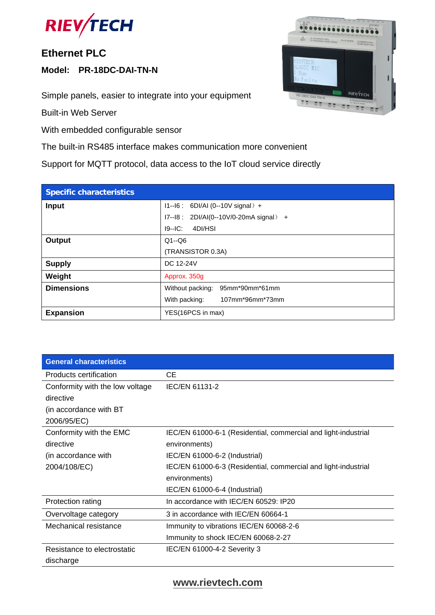

#### **Ethernet PLC**

**Model: PR-18DC-DAI-TN-N**

Simple panels, easier to integrate into your equipment

Built-in Web Server

With embedded configurable sensor

The built-in RS485 interface makes communication more convenient

Support for MQTT protocol, data access to the IoT cloud service directly

| <b>Specific characteristics</b> |                                        |  |  |  |  |
|---------------------------------|----------------------------------------|--|--|--|--|
| <b>Input</b>                    | $11 - 16$ : 6DI/AI (0--10V signal) +   |  |  |  |  |
|                                 | I7--18: 2DI/AI(0--10V/0-20mA signal) + |  |  |  |  |
|                                 | $I9-IC$ :<br>4DI/HSI                   |  |  |  |  |
| <b>Output</b>                   | $Q1 - Q6$                              |  |  |  |  |
|                                 | (TRANSISTOR 0.3A)                      |  |  |  |  |
| <b>Supply</b>                   | DC 12-24V                              |  |  |  |  |
| Weight                          | Approx. 350g                           |  |  |  |  |
| <b>Dimensions</b>               | Without packing:<br>95mm*90mm*61mm     |  |  |  |  |
|                                 | 107mm*96mm*73mm<br>With packing:       |  |  |  |  |
| <b>Expansion</b>                | YES(16PCS in max)                      |  |  |  |  |

| <b>General characteristics</b>  |                                                                |
|---------------------------------|----------------------------------------------------------------|
| Products certification          | <b>CE</b>                                                      |
| Conformity with the low voltage | <b>IEC/EN 61131-2</b>                                          |
| directive                       |                                                                |
| (in accordance with BT)         |                                                                |
| 2006/95/EC)                     |                                                                |
| Conformity with the EMC         | IEC/EN 61000-6-1 (Residential, commercial and light-industrial |
| directive                       | environments)                                                  |
| (in accordance with             | IEC/EN 61000-6-2 (Industrial)                                  |
| 2004/108/EC)                    | IEC/EN 61000-6-3 (Residential, commercial and light-industrial |
|                                 | environments)                                                  |
|                                 | IEC/EN 61000-6-4 (Industrial)                                  |
| Protection rating               | In accordance with IEC/EN 60529: IP20                          |
| Overvoltage category            | 3 in accordance with IEC/EN 60664-1                            |
| Mechanical resistance           | Immunity to vibrations IEC/EN 60068-2-6                        |
|                                 | Immunity to shock IEC/EN 60068-2-27                            |
| Resistance to electrostatic     | IEC/EN 61000-4-2 Severity 3                                    |
| discharge                       |                                                                |

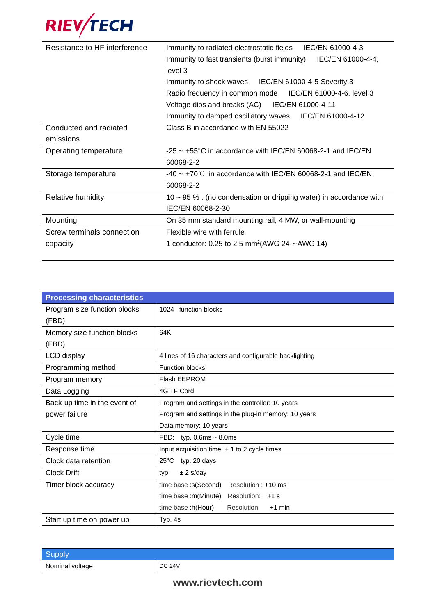

| Resistance to HF interference | Immunity to radiated electrostatic fields IEC/EN 61000-4-3<br>IEC/EN 61000-4-4,<br>Immunity to fast transients (burst immunity)<br>level 3 |  |  |
|-------------------------------|--------------------------------------------------------------------------------------------------------------------------------------------|--|--|
|                               | Immunity to shock waves IEC/EN 61000-4-5 Severity 3                                                                                        |  |  |
|                               | Radio frequency in common mode IEC/EN 61000-4-6, level 3                                                                                   |  |  |
|                               | Voltage dips and breaks (AC) IEC/EN 61000-4-11                                                                                             |  |  |
|                               | IEC/EN 61000-4-12<br>Immunity to damped oscillatory waves                                                                                  |  |  |
| Conducted and radiated        | Class B in accordance with EN 55022                                                                                                        |  |  |
| emissions                     |                                                                                                                                            |  |  |
| Operating temperature         | $-25 \sim +55^{\circ}$ C in accordance with IEC/EN 60068-2-1 and IEC/EN                                                                    |  |  |
|                               | 60068-2-2                                                                                                                                  |  |  |
| Storage temperature           | $-40 \sim +70^{\circ}$ in accordance with IEC/EN 60068-2-1 and IEC/EN                                                                      |  |  |
|                               | 60068-2-2                                                                                                                                  |  |  |
| Relative humidity             | 10 $\sim$ 95 % . (no condensation or dripping water) in accordance with                                                                    |  |  |
|                               | IEC/EN 60068-2-30                                                                                                                          |  |  |
| Mounting                      | On 35 mm standard mounting rail, 4 MW, or wall-mounting                                                                                    |  |  |
| Screw terminals connection    | Flexible wire with ferrule                                                                                                                 |  |  |
| capacity                      | 1 conductor: 0.25 to 2.5 mm <sup>2</sup> (AWG 24 $\sim$ AWG 14)                                                                            |  |  |

| <b>Processing characteristics</b> |                                                        |  |  |  |  |  |
|-----------------------------------|--------------------------------------------------------|--|--|--|--|--|
| Program size function blocks      | 1024 function blocks                                   |  |  |  |  |  |
| (FBD)                             |                                                        |  |  |  |  |  |
| Memory size function blocks       | 64K                                                    |  |  |  |  |  |
| (FBD)                             |                                                        |  |  |  |  |  |
| LCD display                       | 4 lines of 16 characters and configurable backlighting |  |  |  |  |  |
| Programming method                | <b>Function blocks</b>                                 |  |  |  |  |  |
| Program memory                    | <b>Flash EEPROM</b>                                    |  |  |  |  |  |
| Data Logging                      | 4G TF Cord                                             |  |  |  |  |  |
| Back-up time in the event of      | Program and settings in the controller: 10 years       |  |  |  |  |  |
| power failure                     | Program and settings in the plug-in memory: 10 years   |  |  |  |  |  |
|                                   | Data memory: 10 years                                  |  |  |  |  |  |
| Cycle time                        | FBD: typ. $0.6ms \sim 8.0ms$                           |  |  |  |  |  |
| Response time                     | Input acquisition time: $+1$ to 2 cycle times          |  |  |  |  |  |
| Clock data retention              | $25^{\circ}$ C<br>typ. 20 days                         |  |  |  |  |  |
| Clock Drift                       | $± 2$ s/day<br>typ.                                    |  |  |  |  |  |
| Timer block accuracy              | Resolution: +10 ms<br>time base :s(Second)             |  |  |  |  |  |
|                                   | time base :m(Minute)<br>Resolution: +1 s               |  |  |  |  |  |
|                                   | time base :h(Hour)<br>Resolution:<br>$+1$ min          |  |  |  |  |  |
| Start up time on power up         | Typ. 4s                                                |  |  |  |  |  |

| Nominal voltage | <b>DC 24V</b> |
|-----------------|---------------|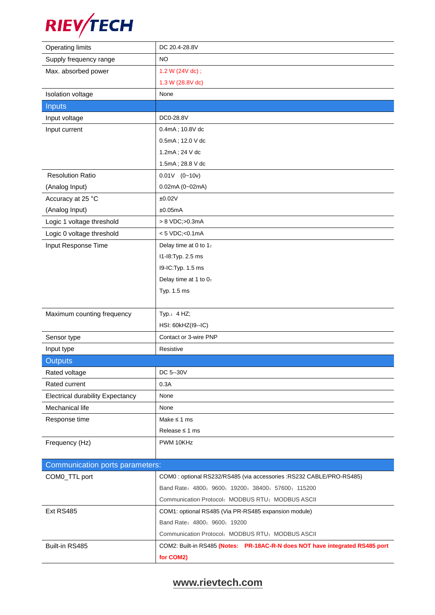

| <b>Operating limits</b>                 | DC 20.4-28.8V                                                                |
|-----------------------------------------|------------------------------------------------------------------------------|
| Supply frequency range                  | <b>NO</b>                                                                    |
| Max. absorbed power                     | 1.2 W (24V dc);                                                              |
|                                         | 1.3 W (28.8V dc)                                                             |
| Isolation voltage                       | None                                                                         |
| <b>Inputs</b>                           |                                                                              |
| Input voltage                           | DC0-28.8V                                                                    |
| Input current                           | 0.4mA; 10.8V dc                                                              |
|                                         | 0.5mA; 12.0 V dc                                                             |
|                                         | 1.2mA; 24 V dc                                                               |
|                                         | 1.5mA; 28.8 V dc                                                             |
| <b>Resolution Ratio</b>                 | $0.01V$ $(0-10v)$                                                            |
| (Analog Input)                          | 0.02mA (0~02mA)                                                              |
| Accuracy at 25 °C                       | ±0.02V                                                                       |
| (Analog Input)                          | ±0.05mA                                                                      |
| Logic 1 voltage threshold               | > 8 VDC;>0.3mA                                                               |
| Logic 0 voltage threshold               | $< 5$ VDC; < 0.1mA                                                           |
| Input Response Time                     | Delay time at 0 to 1:                                                        |
|                                         | 11-18: Typ. 2.5 ms                                                           |
|                                         | 19-IC: Typ. 1.5 ms                                                           |
|                                         | Delay time at 1 to 0:                                                        |
|                                         | Typ. 1.5 ms                                                                  |
|                                         |                                                                              |
| Maximum counting frequency              | Typ.: 4 HZ;                                                                  |
|                                         | HSI: 60kHZ(I9--IC)                                                           |
| Sensor type                             | Contact or 3-wire PNP                                                        |
| Input type                              | Resistive                                                                    |
| <b>Outputs</b>                          |                                                                              |
| Rated voltage                           | DC 5--30V                                                                    |
| Rated current                           | 0.3A                                                                         |
| <b>Electrical durability Expectancy</b> | None                                                                         |
| Mechanical life                         | None                                                                         |
| Response time                           | Make $\leq$ 1 ms                                                             |
|                                         | Release $\leq$ 1 ms                                                          |
| Frequency (Hz)                          | PWM 10KHz                                                                    |
|                                         |                                                                              |
| Communication ports parameters:         |                                                                              |
| COM0_TTL port                           | COM0: optional RS232/RS485 (via accessories: RS232 CABLE/PRO-RS485)          |
|                                         | Band Rate: 4800; 9600; 19200; 38400; 57600; 115200                           |
|                                         | Communication Protocol: MODBUS RTU; MODBUS ASCII                             |
| Ext RS485                               | COM1: optional RS485 (Via PR-RS485 expansion module)                         |
|                                         | Band Rate: 4800; 9600; 19200                                                 |
|                                         | Communication Protocol: MODBUS RTU; MODBUS ASCII                             |
| Built-in RS485                          | COM2: Built-in RS485 (Notes: PR-18AC-R-N does NOT have integrated RS485 port |
|                                         | for COM2)                                                                    |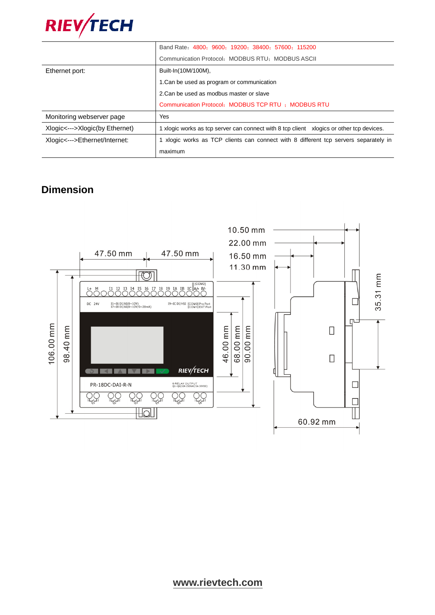

|                                | Band Rate: 4800; 9600; 19200; 38400; 57600; 115200                                       |
|--------------------------------|------------------------------------------------------------------------------------------|
|                                | Communication Protocol: MODBUS RTU: MODBUS ASCII                                         |
| Ethernet port:                 | Built-In(10M/100M),                                                                      |
|                                | 1. Can be used as program or communication                                               |
|                                | 2. Can be used as modbus master or slave                                                 |
|                                | Communication Protocol: MODBUS TCP RTU : MODBUS RTU                                      |
| Monitoring webserver page      | Yes                                                                                      |
| Xlogic<--->Xlogic(by Ethernet) | 1 xlogic works as tcp server can connect with 8 tcp client xlogics or other tcp devices. |
| Xlogic<--->Ethernet/Internet:  | 1 xlogic works as TCP clients can connect with 8 different tcp servers separately in     |
|                                | maximum                                                                                  |

## **Dimension**

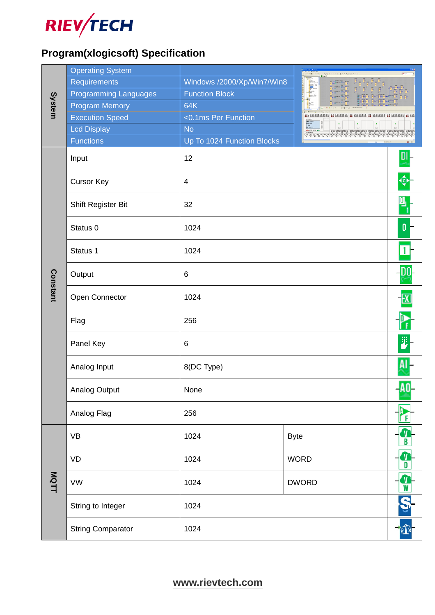

# **Program(xlogicsoft) Specification**

|          | <b>Operating System</b>      |                            |                              |   |  |  |
|----------|------------------------------|----------------------------|------------------------------|---|--|--|
|          | Requirements                 | Windows /2000/Xp/Win7/Win8 |                              |   |  |  |
|          | <b>Programming Languages</b> | <b>Function Block</b>      |                              |   |  |  |
| System   | <b>Program Memory</b>        | 64K                        |                              |   |  |  |
|          | <b>Execution Speed</b>       | <0.1ms Per Function        |                              |   |  |  |
|          | <b>Lcd Display</b>           | <b>No</b>                  | $\frac{1}{\ln t}$<br>t.<br>M |   |  |  |
|          | <b>Functions</b>             | Up To 1024 Function Blocks |                              |   |  |  |
|          | Input                        | 12                         |                              |   |  |  |
|          | <b>Cursor Key</b>            | $\overline{4}$             |                              |   |  |  |
|          | Shift Register Bit           | 32                         |                              |   |  |  |
|          | Status 0                     | 1024                       |                              | 0 |  |  |
|          | Status 1                     | 1024                       |                              |   |  |  |
| Constant | Output                       | $6\phantom{1}6$            |                              |   |  |  |
|          | Open Connector               | 1024                       |                              |   |  |  |
|          | Flag                         | 256                        |                              |   |  |  |
|          | Panel Key                    | $\,6$                      |                              |   |  |  |
|          | Analog Input                 | 8(DC Type)                 |                              |   |  |  |
|          | Analog Output                | None                       |                              |   |  |  |
|          | Analog Flag                  | 256                        |                              |   |  |  |
|          | <b>VB</b>                    | 1024                       | <b>Byte</b>                  |   |  |  |
|          | VD                           | 1024<br><b>WORD</b>        |                              |   |  |  |
| MQTT     | <b>VW</b>                    | <b>DWORD</b><br>1024       |                              |   |  |  |
|          | String to Integer            | 1024                       |                              |   |  |  |
|          | <b>String Comparator</b>     | 1024                       |                              |   |  |  |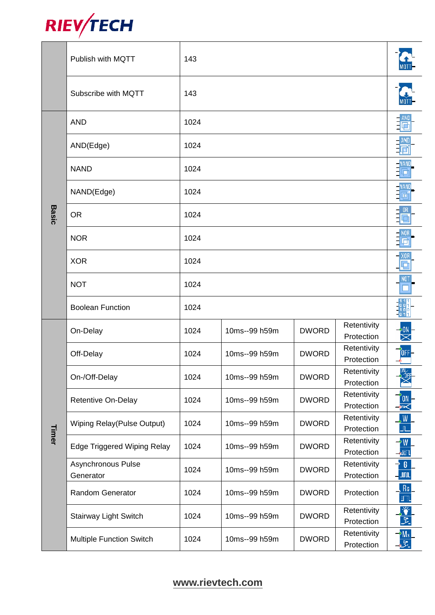

|              | Publish with MQTT                  | 143  |               |              |                           |                                          |  |  |
|--------------|------------------------------------|------|---------------|--------------|---------------------------|------------------------------------------|--|--|
|              | Subscribe with MQTT                | 143  |               |              |                           |                                          |  |  |
|              | <b>AND</b>                         | 1024 |               |              |                           |                                          |  |  |
|              | AND(Edge)                          | 1024 |               |              |                           |                                          |  |  |
|              | <b>NAND</b>                        | 1024 |               |              |                           |                                          |  |  |
|              | NAND(Edge)                         | 1024 |               |              |                           | <b>NAND</b>                              |  |  |
| <b>Basic</b> | <b>OR</b>                          | 1024 |               |              |                           |                                          |  |  |
|              | <b>NOR</b>                         | 1024 |               |              |                           |                                          |  |  |
|              | <b>XOR</b>                         | 1024 |               |              |                           |                                          |  |  |
|              | <b>NOT</b>                         | 1024 |               |              |                           |                                          |  |  |
|              | <b>Boolean Function</b>            | 1024 |               |              |                           |                                          |  |  |
|              | On-Delay                           | 1024 | 10ms--99 h59m | <b>DWORD</b> | Retentivity<br>Protection |                                          |  |  |
|              | Off-Delay                          | 1024 | 10ms--99 h59m | <b>DWORD</b> | Retentivity<br>Protection |                                          |  |  |
|              | On-/Off-Delay                      | 1024 | 10ms--99 h59m | <b>DWORD</b> | Retentivity<br>Protection | $0 N \times 1$<br>Σ 10FE                 |  |  |
|              | Retentive On-Delay                 | 1024 | 10ms--99 h59m | <b>DWORD</b> | Retentivity<br>Protection | 0N                                       |  |  |
|              | Wiping Relay(Pulse Output)         | 1024 | 10ms--99 h59m | <b>DWORD</b> | Retentivity<br>Protection | $\frac{1}{\sqrt{2}}$                     |  |  |
| Timer        | <b>Edge Triggered Wiping Relay</b> | 1024 | 10ms--99 h59m | <b>DWORD</b> | Retentivity<br>Protection | $\frac{1}{\sqrt{2}}$                     |  |  |
|              | Asynchronous Pulse<br>Generator    | 1024 | 10ms--99 h59m | <b>DWORD</b> | Retentivity<br>Protection | $\overline{\phantom{a}}$ 6<br>$\sqrt{m}$ |  |  |
|              | Random Generator                   | 1024 | 10ms--99 h59m | <b>DWORD</b> | Protection                | $R_6$<br>īπ                              |  |  |
|              | Stairway Light Switch              | 1024 | 10ms--99 h59m | <b>DWORD</b> | Retentivity<br>Protection | $\ddot{\bullet}$<br>E.                   |  |  |
|              | <b>Multiple Function Switch</b>    | 1024 | 10ms--99 h59m | <b>DWORD</b> | Retentivity<br>Protection | $\frac{2M_s}{s^2}$                       |  |  |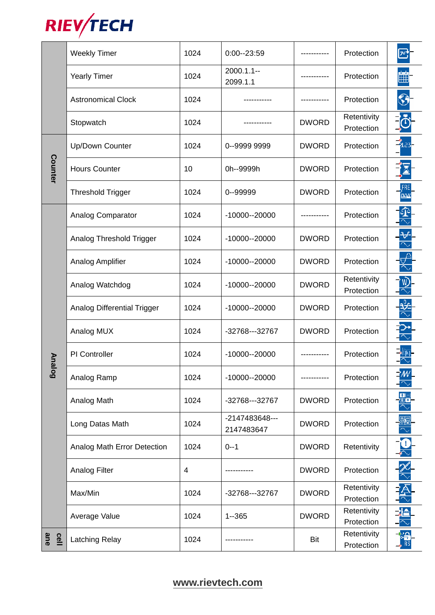

|             | <b>Weekly Timer</b>         | 1024 | $0:00 - 23:59$               |              | Protection                |  |
|-------------|-----------------------------|------|------------------------------|--------------|---------------------------|--|
|             | <b>Yearly Timer</b>         | 1024 | $2000.1.1 -$<br>2099.1.1     |              | Protection                |  |
|             | <b>Astronomical Clock</b>   | 1024 |                              |              | Protection                |  |
|             | Stopwatch                   | 1024 |                              | <b>DWORD</b> | Retentivity<br>Protection |  |
|             | Up/Down Counter             | 1024 | 0--9999 9999                 | <b>DWORD</b> | Protection                |  |
| Counter     | <b>Hours Counter</b>        | 10   | 0h--9999h                    | <b>DWORD</b> | Protection                |  |
|             | <b>Threshold Trigger</b>    | 1024 | 0--99999                     | <b>DWORD</b> | Protection                |  |
|             | Analog Comparator           | 1024 | $-10000 - 20000$             |              | Protection                |  |
|             | Analog Threshold Trigger    | 1024 | $-10000 - 20000$             | <b>DWORD</b> | Protection                |  |
|             | Analog Amplifier            | 1024 | $-10000 - 20000$             | <b>DWORD</b> | Protection                |  |
|             | Analog Watchdog             | 1024 | $-10000 - 20000$             | <b>DWORD</b> | Retentivity<br>Protection |  |
|             | Analog Differential Trigger | 1024 | $-10000 - 20000$             | <b>DWORD</b> | Protection                |  |
|             | Analog MUX                  | 1024 | -32768---32767               | <b>DWORD</b> | Protection                |  |
| Anal        | PI Controller               | 1024 | $-10000 - 20000$             |              | Protection                |  |
| <u>င်</u>   | Analog Ramp                 | 1024 | $-10000 - 20000$             |              | Protection                |  |
|             | Analog Math                 | 1024 | -32768---32767               | <b>DWORD</b> | Protection                |  |
|             | Long Datas Math             | 1024 | -2147483648---<br>2147483647 | <b>DWORD</b> | Protection                |  |
|             | Analog Math Error Detection | 1024 | $0 - 1$                      | <b>DWORD</b> | Retentivity               |  |
|             | <b>Analog Filter</b>        | 4    |                              | <b>DWORD</b> | Protection                |  |
|             | Max/Min                     | 1024 | -32768---32767               | <b>DWORD</b> | Retentivity<br>Protection |  |
|             | Average Value               | 1024 | $1 - 365$                    | <b>DWORD</b> | Retentivity<br>Protection |  |
| ane<br>cell | Latching Relay              | 1024 |                              | Bit          | Retentivity<br>Protection |  |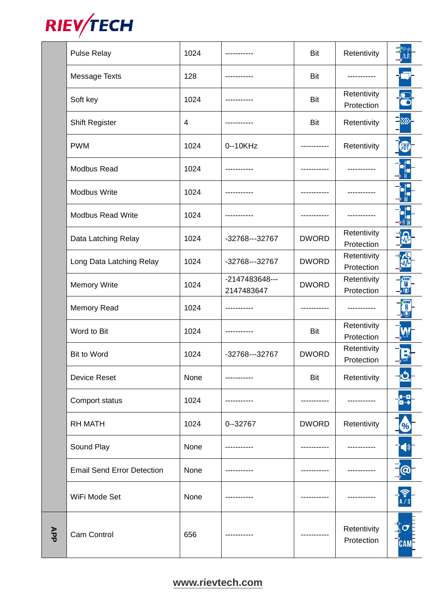

|     | <b>Pulse Relay</b>                | 1024 | -----------                  | Bit          | Retentivity               |                          |
|-----|-----------------------------------|------|------------------------------|--------------|---------------------------|--------------------------|
|     | Message Texts                     | 128  |                              | Bit          |                           |                          |
|     | Soft key                          | 1024 |                              | <b>Bit</b>   | Retentivity<br>Protection |                          |
|     | <b>Shift Register</b>             | 4    | ----------                   | Bit          | Retentivity               |                          |
|     | <b>PWM</b>                        | 1024 | 0--10KHz                     |              | Retentivity               | <b>PWM</b>               |
|     | <b>Modbus Read</b>                | 1024 |                              |              |                           |                          |
|     | <b>Modbus Write</b>               | 1024 |                              |              |                           |                          |
|     | <b>Modbus Read Write</b>          | 1024 |                              |              |                           |                          |
|     | Data Latching Relay               | 1024 | -32768---32767               | <b>DWORD</b> | Retentivity<br>Protection |                          |
|     | Long Data Latching Relay          | 1024 | -32768---32767               | <b>DWORD</b> | Retentivity<br>Protection |                          |
|     | <b>Memory Write</b>               | 1024 | -2147483648---<br>2147483647 | <b>DWORD</b> | Retentivity<br>Protection | ₩<br>$\bullet$ $\bullet$ |
|     | <b>Memory Read</b>                | 1024 |                              |              |                           |                          |
|     | Word to Bit                       | 1024 |                              | Bit          | Retentivity<br>Protection |                          |
|     | <b>Bit to Word</b>                | 1024 | -32768---32767               | <b>DWORD</b> | Retentivity<br>Protection |                          |
|     | <b>Device Reset</b>               | None | ----------                   | Bit          | Retentivity               |                          |
|     | Comport status                    | 1024 |                              |              |                           | ¢шп<br>و د کا            |
|     | <b>RH MATH</b>                    | 1024 | $0 - 32767$                  | <b>DWORD</b> | Retentivity               |                          |
|     | Sound Play                        | None |                              |              |                           |                          |
|     | <b>Email Send Error Detection</b> | None |                              |              |                           | $\boldsymbol{\Theta}$    |
|     | WiFi Mode Set                     | None |                              |              |                           |                          |
| APP | Cam Control                       | 656  |                              |              | Retentivity<br>Protection | <b>CAM</b>               |